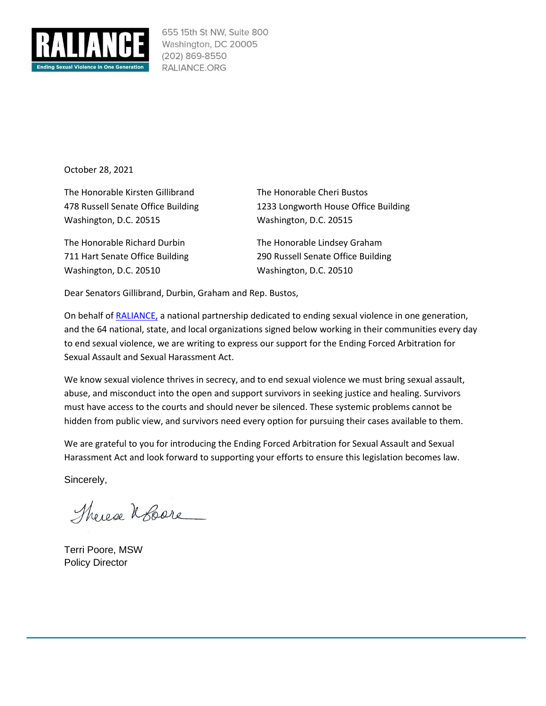

655 15th St NW, Suite 800 Washington, DC 20005 (202) 869-8550 RALIANCE.ORG

October 28, 2021

The Honorable Kirsten Gillibrand The Honorable Cheri Bustos Washington, D.C. 20515 Washington, D.C. 20515

The Honorable Richard Durbin The Honorable Lindsey Graham Washington, D.C. 20510 Washington, D.C. 20510

478 Russell Senate Office Building 1233 Longworth House Office Building

711 Hart Senate Office Building 290 Russell Senate Office Building

Dear Senators Gillibrand, Durbin, Graham and Rep. Bustos,

On behalf of [RALIANCE,](https://www.raliance.org/) a national partnership dedicated to ending sexual violence in one generation, and the 64 national, state, and local organizations signed below working in their communities every day to end sexual violence, we are writing to express our support for the Ending Forced Arbitration for Sexual Assault and Sexual Harassment Act.

We know sexual violence thrives in secrecy, and to end sexual violence we must bring sexual assault, abuse, and misconduct into the open and support survivors in seeking justice and healing. Survivors must have access to the courts and should never be silenced. These systemic problems cannot be hidden from public view, and survivors need every option for pursuing their cases available to them.

We are grateful to you for introducing the Ending Forced Arbitration for Sexual Assault and Sexual Harassment Act and look forward to supporting your efforts to ensure this legislation becomes law.

Sincerely,

Therese Robert

Terri Poore, MSW Policy Director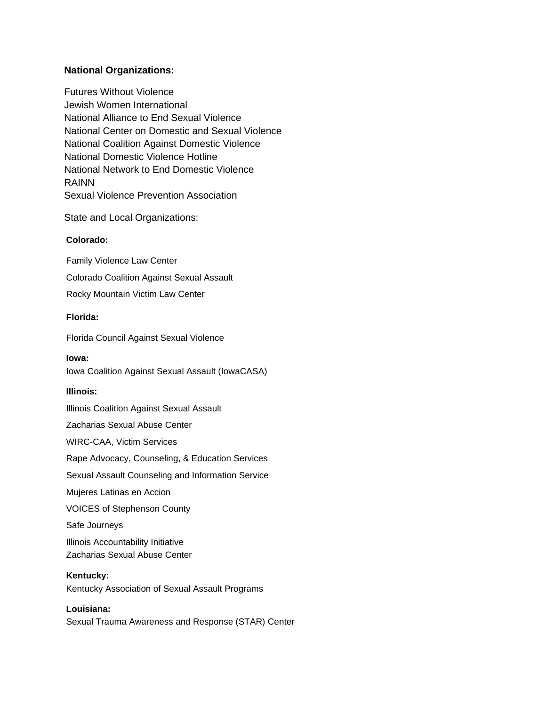## **National Organizations:**

Futures Without Violence Jewish Women International National Alliance to End Sexual Violence National Center on Domestic and Sexual Violence National Coalition Against Domestic Violence National Domestic Violence Hotline National Network to End Domestic Violence RAINN Sexual Violence Prevention Association

State and Local Organizations:

## **Colorado:**

Family Violence Law Center Colorado Coalition Against Sexual Assault Rocky Mountain Victim Law Center

## **Florida:**

Florida Council Against Sexual Violence

**Iowa:**  Iowa Coalition Against Sexual Assault (IowaCASA)

## **Illinois:**

Illinois Coalition Against Sexual Assault Zacharias Sexual Abuse Center WIRC-CAA, Victim Services Rape Advocacy, Counseling, & Education Services Sexual Assault Counseling and Information Service Mujeres Latinas en Accion VOICES of Stephenson County Safe Journeys Illinois Accountability Initiative Zacharias Sexual Abuse Center

## **Kentucky:**

Kentucky Association of Sexual Assault Programs

## **Louisiana:**  Sexual Trauma Awareness and Response (STAR) Center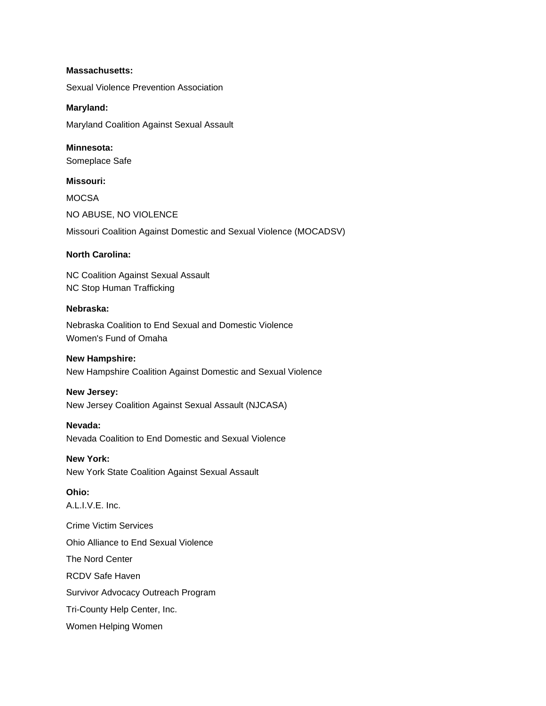#### **Massachusetts:**

Sexual Violence Prevention Association

#### **Maryland:**

Maryland Coalition Against Sexual Assault

## **Minnesota:**

Someplace Safe

#### **Missouri:**

**MOCSA** NO ABUSE, NO VIOLENCE Missouri Coalition Against Domestic and Sexual Violence (MOCADSV)

#### **North Carolina:**

NC Coalition Against Sexual Assault NC Stop Human Trafficking

#### **Nebraska:**

Nebraska Coalition to End Sexual and Domestic Violence Women's Fund of Omaha

#### **New Hampshire:**

New Hampshire Coalition Against Domestic and Sexual Violence

#### **New Jersey:**

New Jersey Coalition Against Sexual Assault (NJCASA)

#### **Nevada:**

Nevada Coalition to End Domestic and Sexual Violence

# **New York:**

New York State Coalition Against Sexual Assault

## **Ohio:**

A.L.I.V.E. Inc. Crime Victim Services Ohio Alliance to End Sexual Violence The Nord Center

RCDV Safe Haven

Survivor Advocacy Outreach Program

Tri-County Help Center, Inc.

Women Helping Women